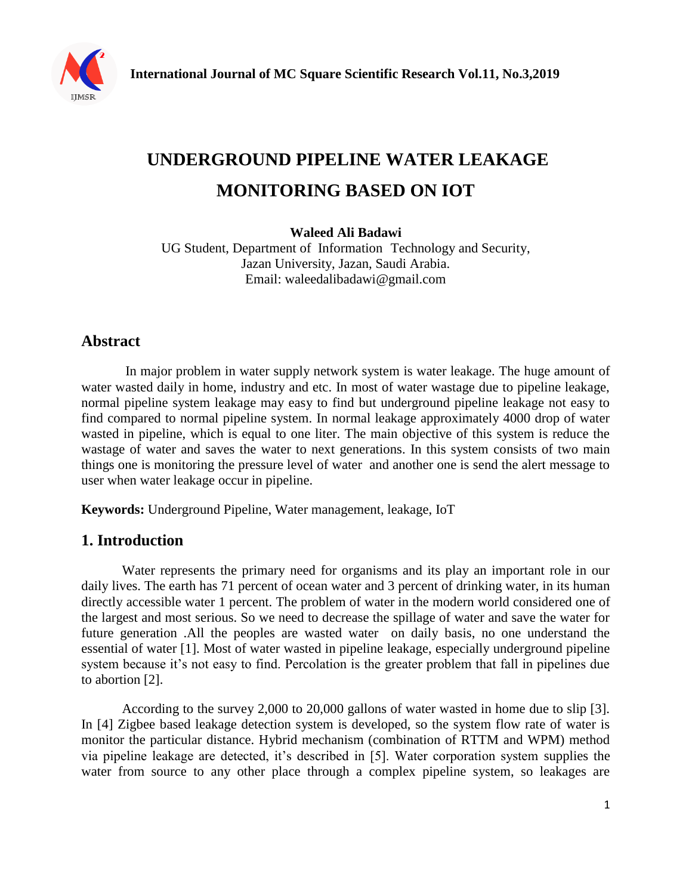

# **UNDERGROUND PIPELINE WATER LEAKAGE MONITORING BASED ON IOT**

**Waleed Ali Badawi**

UG Student, Department of Information Technology and Security, Jazan University, Jazan, Saudi Arabia. Email: waleedalibadawi@gmail.com

# **Abstract**

In major problem in water supply network system is water leakage. The huge amount of water wasted daily in home, industry and etc. In most of water wastage due to pipeline leakage, normal pipeline system leakage may easy to find but underground pipeline leakage not easy to find compared to normal pipeline system. In normal leakage approximately 4000 drop of water wasted in pipeline, which is equal to one liter. The main objective of this system is reduce the wastage of water and saves the water to next generations. In this system consists of two main things one is monitoring the pressure level of water and another one is send the alert message to user when water leakage occur in pipeline.

**Keywords:** Underground Pipeline, Water management, leakage, IoT

### **1. Introduction**

Water represents the primary need for organisms and its play an important role in our daily lives. The earth has 71 percent of ocean water and 3 percent of drinking water, in its human directly accessible water 1 percent. The problem of water in the modern world considered one of the largest and most serious. So we need to decrease the spillage of water and save the water for future generation .All the peoples are wasted water on daily basis, no one understand the essential of water [1]. Most of water wasted in pipeline leakage, especially underground pipeline system because it's not easy to find. Percolation is the greater problem that fall in pipelines due to abortion [2].

According to the survey 2,000 to 20,000 gallons of water wasted in home due to slip [3]. In [4] Zigbee based leakage detection system is developed, so the system flow rate of water is monitor the particular distance. Hybrid mechanism (combination of RTTM and WPM) method via pipeline leakage are detected, it's described in [5]. Water corporation system supplies the water from source to any other place through a complex pipeline system, so leakages are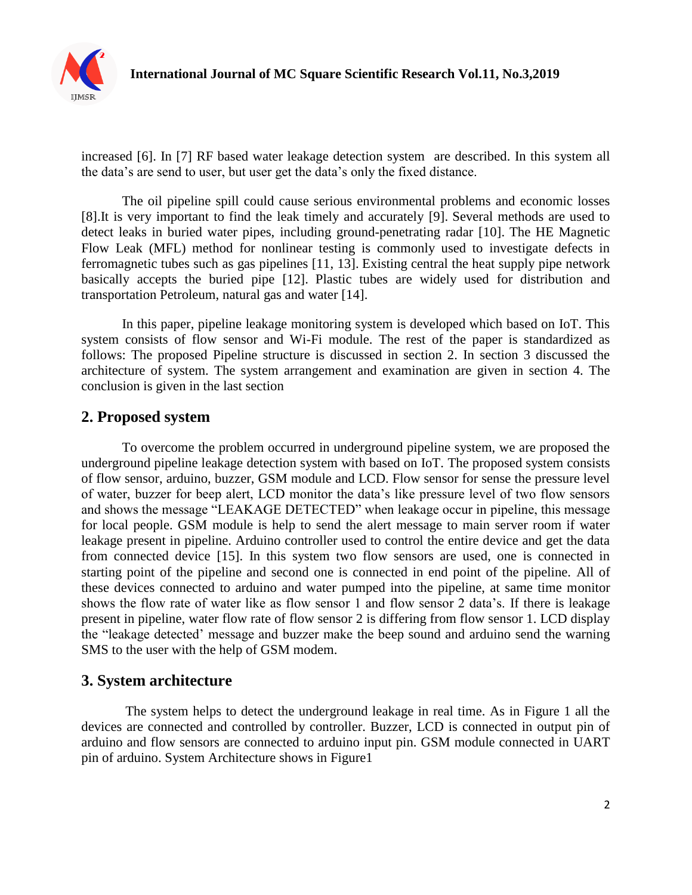

increased [6]. In [7] RF based water leakage detection system are described. In this system all the data's are send to user, but user get the data's only the fixed distance.

The oil pipeline spill could cause serious environmental problems and economic losses [8].It is very important to find the leak timely and accurately [9]. Several methods are used to detect leaks in buried water pipes, including ground-penetrating radar [10]. The HE Magnetic Flow Leak (MFL) method for nonlinear testing is commonly used to investigate defects in ferromagnetic tubes such as gas pipelines [11, 13]. Existing central the heat supply pipe network basically accepts the buried pipe [12]. Plastic tubes are widely used for distribution and transportation Petroleum, natural gas and water [14].

In this paper, pipeline leakage monitoring system is developed which based on IoT. This system consists of flow sensor and Wi-Fi module. The rest of the paper is standardized as follows: The proposed Pipeline structure is discussed in section 2. In section 3 discussed the architecture of system. The system arrangement and examination are given in section 4. The conclusion is given in the last section

#### **2. Proposed system**

To overcome the problem occurred in underground pipeline system, we are proposed the underground pipeline leakage detection system with based on IoT. The proposed system consists of flow sensor, arduino, buzzer, GSM module and LCD. Flow sensor for sense the pressure level of water, buzzer for beep alert, LCD monitor the data's like pressure level of two flow sensors and shows the message "LEAKAGE DETECTED" when leakage occur in pipeline, this message for local people. GSM module is help to send the alert message to main server room if water leakage present in pipeline. Arduino controller used to control the entire device and get the data from connected device [15]. In this system two flow sensors are used, one is connected in starting point of the pipeline and second one is connected in end point of the pipeline. All of these devices connected to arduino and water pumped into the pipeline, at same time monitor shows the flow rate of water like as flow sensor 1 and flow sensor 2 data's. If there is leakage present in pipeline, water flow rate of flow sensor 2 is differing from flow sensor 1. LCD display the "leakage detected' message and buzzer make the beep sound and arduino send the warning SMS to the user with the help of GSM modem.

#### **3. System architecture**

The system helps to detect the underground leakage in real time. As in Figure 1 all the devices are connected and controlled by controller. Buzzer, LCD is connected in output pin of arduino and flow sensors are connected to arduino input pin. GSM module connected in UART pin of arduino. System Architecture shows in Figure1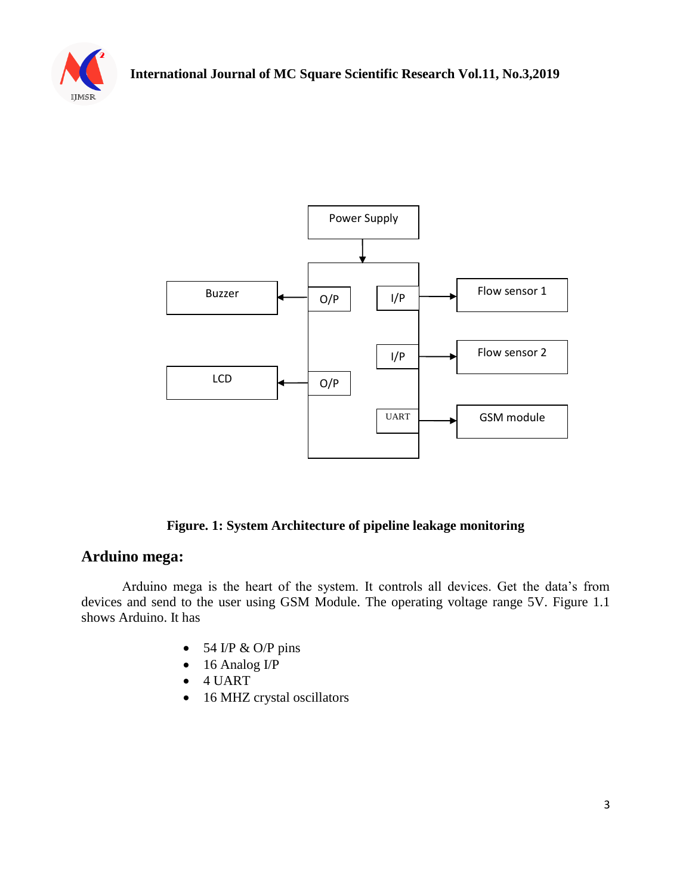



#### **Figure. 1: System Architecture of pipeline leakage monitoring**

#### **Arduino mega:**

Arduino mega is the heart of the system. It controls all devices. Get the data's from devices and send to the user using GSM Module. The operating voltage range 5V. Figure 1.1 shows Arduino. It has

- $\bullet$  54 I/P & O/P pins
- $\bullet$  16 Analog I/P
- $-4 \text{ UART}$
- 16 MHZ crystal oscillators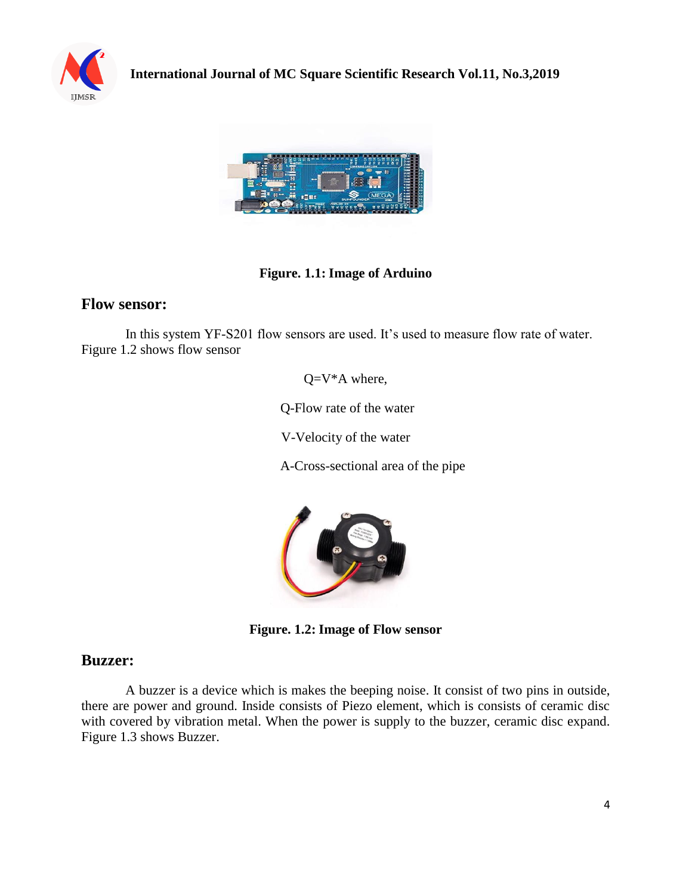



#### **Figure. 1.1: Image of Arduino**

#### **Flow sensor:**

In this system YF-S201 flow sensors are used. It's used to measure flow rate of water. Figure 1.2 shows flow sensor

Q=V\*A where,

Q-Flow rate of the water

V-Velocity of the water

A-Cross-sectional area of the pipe



**Figure. 1.2: Image of Flow sensor** 

#### **Buzzer:**

A buzzer is a device which is makes the beeping noise. It consist of two pins in outside, there are power and ground. Inside consists of Piezo element, which is consists of ceramic disc with covered by vibration metal. When the power is supply to the buzzer, ceramic disc expand. Figure 1.3 shows Buzzer.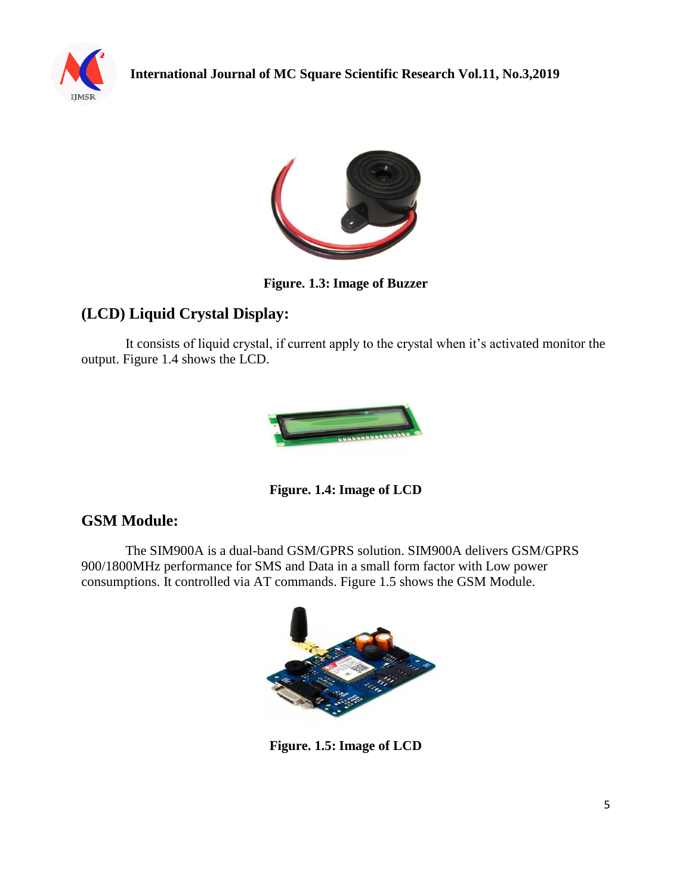



**Figure. 1.3: Image of Buzzer**

# **(LCD) Liquid Crystal Display:**

It consists of liquid crystal, if current apply to the crystal when it's activated monitor the output. Figure 1.4 shows the LCD.



**Figure. 1.4: Image of LCD**

# **GSM Module:**

The SIM900A is a dual-band GSM/GPRS solution. SIM900A delivers GSM/GPRS 900/1800MHz performance for SMS and Data in a small form factor with Low power consumptions. It controlled via AT commands. Figure 1.5 shows the GSM Module.



**Figure. 1.5: Image of LCD**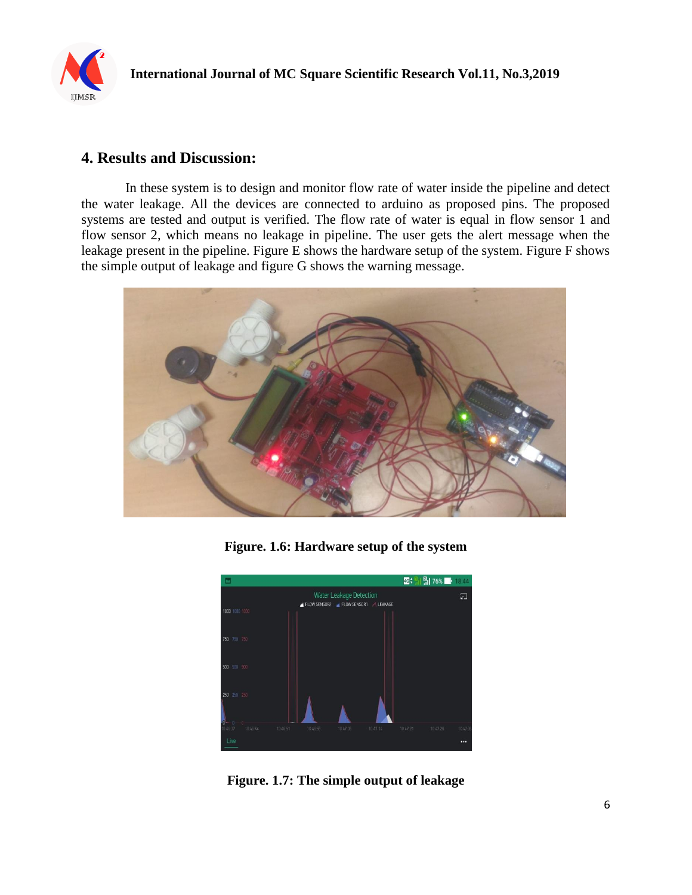

## **4. Results and Discussion:**

In these system is to design and monitor flow rate of water inside the pipeline and detect the water leakage. All the devices are connected to arduino as proposed pins. The proposed systems are tested and output is verified. The flow rate of water is equal in flow sensor 1 and flow sensor 2, which means no leakage in pipeline. The user gets the alert message when the leakage present in the pipeline. Figure E shows the hardware setup of the system. Figure F shows the simple output of leakage and figure G shows the warning message.



**Figure. 1.6: Hardware setup of the system** 



**Figure. 1.7: The simple output of leakage**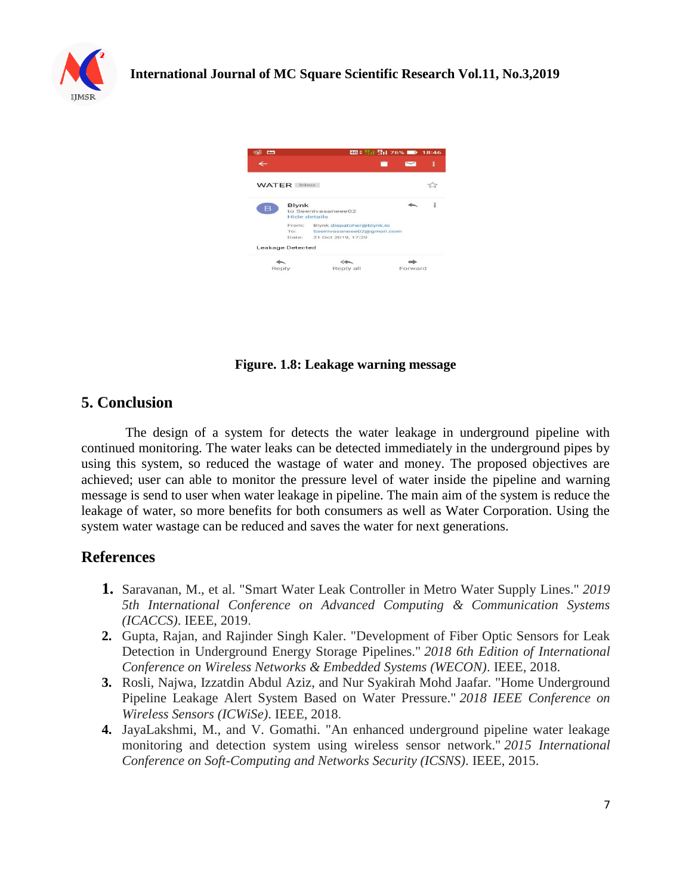



#### **Figure. 1.8: Leakage warning message**

#### **5. Conclusion**

The design of a system for detects the water leakage in underground pipeline with continued monitoring. The water leaks can be detected immediately in the underground pipes by using this system, so reduced the wastage of water and money. The proposed objectives are achieved; user can able to monitor the pressure level of water inside the pipeline and warning message is send to user when water leakage in pipeline. The main aim of the system is reduce the leakage of water, so more benefits for both consumers as well as Water Corporation. Using the system water wastage can be reduced and saves the water for next generations.

#### **References**

- **1.** Saravanan, M., et al. "Smart Water Leak Controller in Metro Water Supply Lines." *2019 5th International Conference on Advanced Computing & Communication Systems (ICACCS)*. IEEE, 2019.
- **2.** Gupta, Rajan, and Rajinder Singh Kaler. "Development of Fiber Optic Sensors for Leak Detection in Underground Energy Storage Pipelines." *2018 6th Edition of International Conference on Wireless Networks & Embedded Systems (WECON)*. IEEE, 2018.
- **3.** Rosli, Najwa, Izzatdin Abdul Aziz, and Nur Syakirah Mohd Jaafar. "Home Underground Pipeline Leakage Alert System Based on Water Pressure." *2018 IEEE Conference on Wireless Sensors (ICWiSe)*. IEEE, 2018.
- **4.** JayaLakshmi, M., and V. Gomathi. "An enhanced underground pipeline water leakage monitoring and detection system using wireless sensor network." *2015 International Conference on Soft-Computing and Networks Security (ICSNS)*. IEEE, 2015.